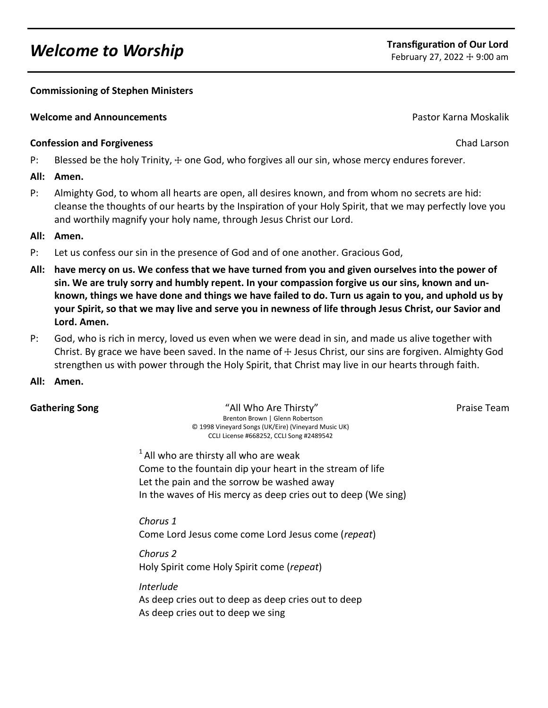# *Welcome to Worship* **Transfiguration of Our Lord**<br> **Transfiguration of Our Lord**<br> **The Conduct of Our Lord Technique 27** 2022 + 9:00 am

# **Commissioning of Stephen Ministers**

# **Welcome and Announcements** Pastor Karna Moskalik

# **Confession and Forgiveness** Chad Larson Chad Larson Chad Larson Chad Larson Chad Larson Chad Larson Chad Larson

P: Blessed be the holy Trinity,  $+$  one God, who forgives all our sin, whose mercy endures forever.

# **All: Amen.**

P: Almighty God, to whom all hearts are open, all desires known, and from whom no secrets are hid: cleanse the thoughts of our hearts by the Inspiration of your Holy Spirit, that we may perfectly love you and worthily magnify your holy name, through Jesus Christ our Lord.

# **All: Amen.**

- P: Let us confess our sin in the presence of God and of one another. Gracious God,
- **All: have mercy on us. We confess that we have turned from you and given ourselves into the power of sin. We are truly sorry and humbly repent. In your compassion forgive us our sins, known and unknown, things we have done and things we have failed to do. Turn us again to you, and uphold us by your Spirit, so that we may live and serve you in newness of life through Jesus Christ, our Savior and Lord. Amen.**
- P: God, who is rich in mercy, loved us even when we were dead in sin, and made us alive together with Christ. By grace we have been saved. In the name of  $\pm$  Jesus Christ, our sins are forgiven. Almighty God strengthen us with power through the Holy Spirit, that Christ may live in our hearts through faith.
- **All: Amen.**

**Gathering Song The Contract Contract Contract Contract Contract Contract Contract Contract Contract Contract Contract Contract Contract Contract Contract Contract Contract Contract Contract Contract Contract Contract Cont Brenton Brown | Glenn Robertson** © 1998 Vineyard Songs (UK/Eire) (Vineyard Music UK) CCLI License #668252, CCLI Song #2489542

 $1$ All who are thirsty all who are weak Come to the fountain dip your heart in the stream of life Let the pain and the sorrow be washed away In the waves of His mercy as deep cries out to deep (We sing)

*Chorus 1* Come Lord Jesus come come Lord Jesus come (*repeat*)

*Chorus 2* Holy Spirit come Holy Spirit come (*repeat*)

*Interlude*

As deep cries out to deep as deep cries out to deep As deep cries out to deep we sing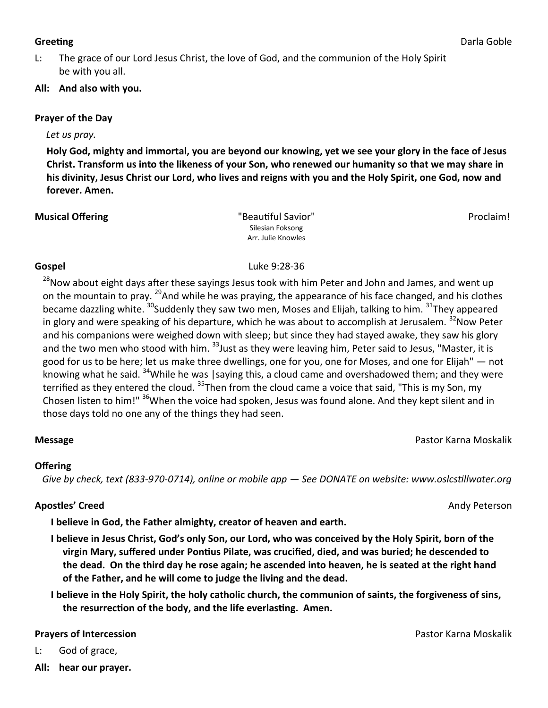L: The grace of our Lord Jesus Christ, the love of God, and the communion of the Holy Spirit be with you all.

# **All: And also with you.**

# **Prayer of the Day**

## *Let us pray.*

**Holy God, mighty and immortal, you are beyond our knowing, yet we see your glory in the face of Jesus Christ. Transform us into the likeness of your Son, who renewed our humanity so that we may share in his divinity, Jesus Christ our Lord, who lives and reigns with you and the Holy Spirit, one God, now and forever. Amen.**

#### **Musical Offering The Community Community Community Community Community Community Community Community Community Community Proclaim!** Silesian Foksong Arr. Julie Knowles

# **Gospel** Luke 9:28-36

<sup>28</sup>Now about eight days after these sayings Jesus took with him Peter and John and James, and went up on the mountain to pray. <sup>29</sup>And while he was praying, the appearance of his face changed, and his clothes became dazzling white. <sup>30</sup>Suddenly they saw two men, Moses and Elijah, talking to him. <sup>31</sup>They appeared in glory and were speaking of his departure, which he was about to accomplish at Jerusalem.  $32$ Now Peter and his companions were weighed down with sleep; but since they had stayed awake, they saw his glory and the two men who stood with him. <sup>33</sup> Just as they were leaving him, Peter said to Jesus, "Master, it is good for us to be here; let us make three dwellings, one for you, one for Moses, and one for Elijah" — not knowing what he said. <sup>34</sup>While he was | saying this, a cloud came and overshadowed them; and they were terrified as they entered the cloud. <sup>35</sup>Then from the cloud came a voice that said, "This is my Son, my Chosen listen to him!" <sup>36</sup>When the voice had spoken, Jesus was found alone. And they kept silent and in those days told no one any of the things they had seen.

# **Message** Pastor Karna Moskalik

# **Offering**

 *Give by check, text (833-970-0714), online or mobile app — See DONATE on website: www.oslcstillwater.org*

# **Apostles' Creed** Andy Peterson

**I believe in God, the Father almighty, creator of heaven and earth.** 

**I believe in Jesus Christ, God's only Son, our Lord, who was conceived by the Holy Spirit, born of the virgin Mary, suffered under Pontius Pilate, was crucified, died, and was buried; he descended to the dead. On the third day he rose again; he ascended into heaven, he is seated at the right hand of the Father, and he will come to judge the living and the dead.** 

**I believe in the Holy Spirit, the holy catholic church, the communion of saints, the forgiveness of sins, the resurrection of the body, and the life everlasting. Amen.**

**Prayers of Intercession Prayers of Intercession Pastor Karna Moskalik** 

- L: God of grace,
- **All: hear our prayer.**